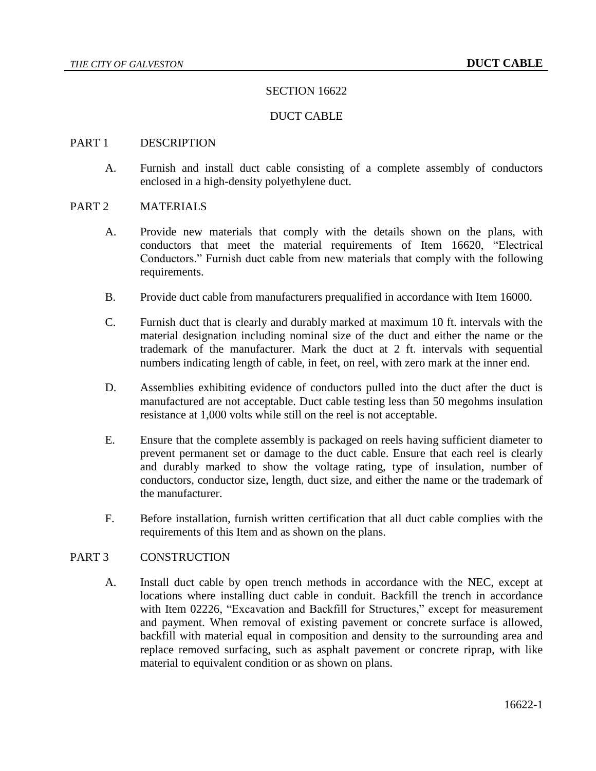## SECTION 16622

### DUCT CABLE

#### PART 1 DESCRIPTION

A. Furnish and install duct cable consisting of a complete assembly of conductors enclosed in a high-density polyethylene duct.

#### PART 2 MATERIALS

- A. Provide new materials that comply with the details shown on the plans, with conductors that meet the material requirements of Item 16620, "Electrical Conductors." Furnish duct cable from new materials that comply with the following requirements.
- B. Provide duct cable from manufacturers prequalified in accordance with Item 16000.
- C. Furnish duct that is clearly and durably marked at maximum 10 ft. intervals with the material designation including nominal size of the duct and either the name or the trademark of the manufacturer. Mark the duct at 2 ft. intervals with sequential numbers indicating length of cable, in feet, on reel, with zero mark at the inner end.
- D. Assemblies exhibiting evidence of conductors pulled into the duct after the duct is manufactured are not acceptable. Duct cable testing less than 50 megohms insulation resistance at 1,000 volts while still on the reel is not acceptable.
- E. Ensure that the complete assembly is packaged on reels having sufficient diameter to prevent permanent set or damage to the duct cable. Ensure that each reel is clearly and durably marked to show the voltage rating, type of insulation, number of conductors, conductor size, length, duct size, and either the name or the trademark of the manufacturer.
- F. Before installation, furnish written certification that all duct cable complies with the requirements of this Item and as shown on the plans.

# PART 3 CONSTRUCTION

A. Install duct cable by open trench methods in accordance with the NEC, except at locations where installing duct cable in conduit. Backfill the trench in accordance with Item 02226, "Excavation and Backfill for Structures," except for measurement and payment. When removal of existing pavement or concrete surface is allowed, backfill with material equal in composition and density to the surrounding area and replace removed surfacing, such as asphalt pavement or concrete riprap, with like material to equivalent condition or as shown on plans.